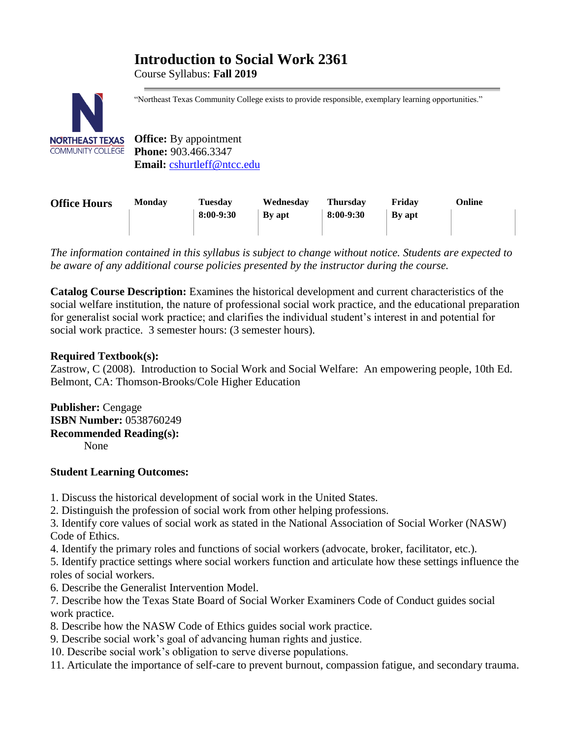# **Introduction to Social Work 2361**

Course Syllabus: **Fall 2019**



"Northeast Texas Community College exists to provide responsible, exemplary learning opportunities."

**Office:** By appointment **Phone:** 903.466.3347 **Email:** [cshurtleff@ntcc.edu](mailto:cshurtleff@ntcc.edu)

| <b>Office Hours</b> | <b>Monday</b> | <b>Tuesday</b> | Wednesdav     | <b>Thursday</b> | Fridav        | Online |
|---------------------|---------------|----------------|---------------|-----------------|---------------|--------|
|                     |               | 8:00-9:30      | <b>By</b> apt | $8:00-9:30$     | <b>By</b> apt |        |
|                     |               |                |               |                 |               |        |

*The information contained in this syllabus is subject to change without notice. Students are expected to be aware of any additional course policies presented by the instructor during the course.*

**Catalog Course Description:** Examines the historical development and current characteristics of the social welfare institution, the nature of professional social work practice, and the educational preparation for generalist social work practice; and clarifies the individual student's interest in and potential for social work practice. 3 semester hours: (3 semester hours).

# **Required Textbook(s):**

Zastrow, C (2008). Introduction to Social Work and Social Welfare: An empowering people, 10th Ed. Belmont, CA: Thomson-Brooks/Cole Higher Education

**Publisher:** Cengage **ISBN Number:** 0538760249 **Recommended Reading(s):** None

# **Student Learning Outcomes:**

- 1. Discuss the historical development of social work in the United States.
- 2. Distinguish the profession of social work from other helping professions.

3. Identify core values of social work as stated in the National Association of Social Worker (NASW) Code of Ethics.

4. Identify the primary roles and functions of social workers (advocate, broker, facilitator, etc.).

5. Identify practice settings where social workers function and articulate how these settings influence the roles of social workers.

- 6. Describe the Generalist Intervention Model.
- 7. Describe how the Texas State Board of Social Worker Examiners Code of Conduct guides social work practice.
- 8. Describe how the NASW Code of Ethics guides social work practice.
- 9. Describe social work's goal of advancing human rights and justice.
- 10. Describe social work's obligation to serve diverse populations.
- 11. Articulate the importance of self-care to prevent burnout, compassion fatigue, and secondary trauma.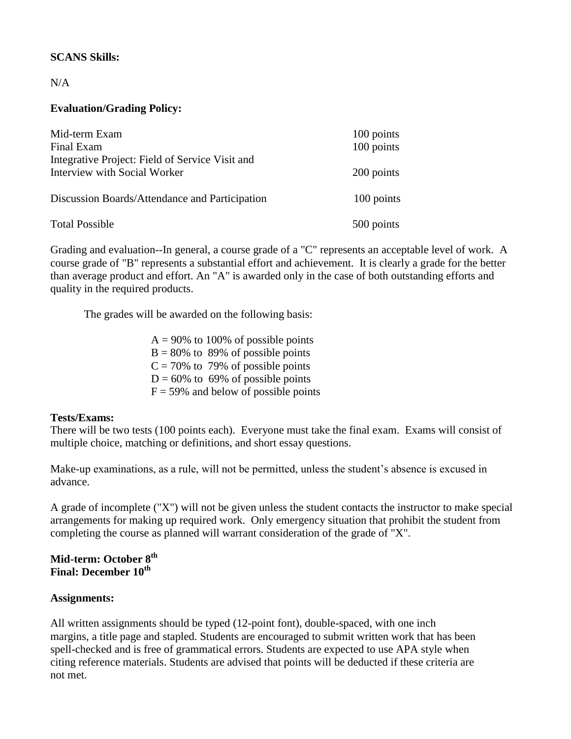# **SCANS Skills:**

# $N/A$

# **Evaluation/Grading Policy:**

| Mid-term Exam<br>Final Exam                                                     | 100 points<br>100 points |
|---------------------------------------------------------------------------------|--------------------------|
| Integrative Project: Field of Service Visit and<br>Interview with Social Worker | 200 points               |
| Discussion Boards/Attendance and Participation                                  | 100 points               |
| <b>Total Possible</b>                                                           | 500 points               |

Grading and evaluation--In general, a course grade of a "C" represents an acceptable level of work. A course grade of "B" represents a substantial effort and achievement. It is clearly a grade for the better than average product and effort. An "A" is awarded only in the case of both outstanding efforts and quality in the required products.

The grades will be awarded on the following basis:

 $A = 90\%$  to 100% of possible points  $B = 80\%$  to 89% of possible points  $C = 70\%$  to 79% of possible points  $D = 60\%$  to 69% of possible points  $F = 59\%$  and below of possible points

#### **Tests/Exams:**

There will be two tests (100 points each). Everyone must take the final exam. Exams will consist of multiple choice, matching or definitions, and short essay questions.

Make-up examinations, as a rule, will not be permitted, unless the student's absence is excused in advance.

A grade of incomplete ("X") will not be given unless the student contacts the instructor to make special arrangements for making up required work. Only emergency situation that prohibit the student from completing the course as planned will warrant consideration of the grade of "X".

# **Mid-term: October 8th Final: December 10th**

# **Assignments:**

All written assignments should be typed (12-point font), double-spaced, with one inch margins, a title page and stapled. Students are encouraged to submit written work that has been spell-checked and is free of grammatical errors. Students are expected to use APA style when citing reference materials. Students are advised that points will be deducted if these criteria are not met.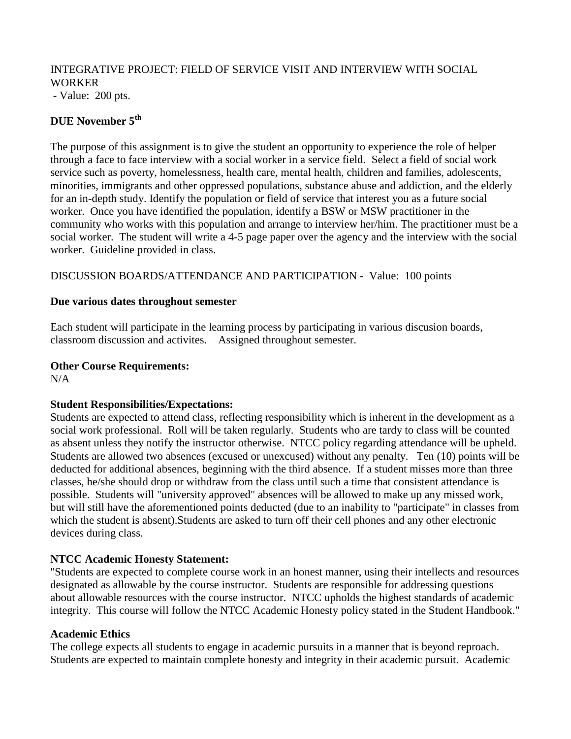# INTEGRATIVE PROJECT: FIELD OF SERVICE VISIT AND INTERVIEW WITH SOCIAL WORKER

- Value: 200 pts.

# **DUE November 5th**

The purpose of this assignment is to give the student an opportunity to experience the role of helper through a face to face interview with a social worker in a service field. Select a field of social work service such as poverty, homelessness, health care, mental health, children and families, adolescents, minorities, immigrants and other oppressed populations, substance abuse and addiction, and the elderly for an in-depth study. Identify the population or field of service that interest you as a future social worker. Once you have identified the population, identify a BSW or MSW practitioner in the community who works with this population and arrange to interview her/him. The practitioner must be a social worker. The student will write a 4-5 page paper over the agency and the interview with the social worker. Guideline provided in class.

DISCUSSION BOARDS/ATTENDANCE AND PARTICIPATION - Value: 100 points

#### **Due various dates throughout semester**

Each student will participate in the learning process by participating in various discusion boards, classroom discussion and activites. Assigned throughout semester.

#### **Other Course Requirements:**

 $N/A$ 

# **Student Responsibilities/Expectations:**

Students are expected to attend class, reflecting responsibility which is inherent in the development as a social work professional. Roll will be taken regularly. Students who are tardy to class will be counted as absent unless they notify the instructor otherwise. NTCC policy regarding attendance will be upheld. Students are allowed two absences (excused or unexcused) without any penalty. Ten (10) points will be deducted for additional absences, beginning with the third absence. If a student misses more than three classes, he/she should drop or withdraw from the class until such a time that consistent attendance is possible. Students will "university approved" absences will be allowed to make up any missed work, but will still have the aforementioned points deducted (due to an inability to "participate" in classes from which the student is absent).Students are asked to turn off their cell phones and any other electronic devices during class.

# **NTCC Academic Honesty Statement:**

"Students are expected to complete course work in an honest manner, using their intellects and resources designated as allowable by the course instructor. Students are responsible for addressing questions about allowable resources with the course instructor. NTCC upholds the highest standards of academic integrity. This course will follow the NTCC Academic Honesty policy stated in the Student Handbook."

#### **Academic Ethics**

The college expects all students to engage in academic pursuits in a manner that is beyond reproach. Students are expected to maintain complete honesty and integrity in their academic pursuit. Academic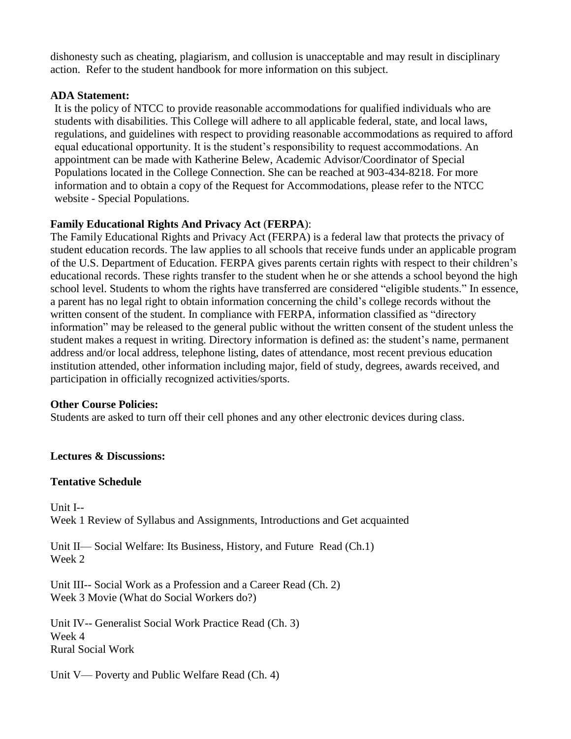dishonesty such as cheating, plagiarism, and collusion is unacceptable and may result in disciplinary action. Refer to the student handbook for more information on this subject.

#### **ADA Statement:**

It is the policy of NTCC to provide reasonable accommodations for qualified individuals who are students with disabilities. This College will adhere to all applicable federal, state, and local laws, regulations, and guidelines with respect to providing reasonable accommodations as required to afford equal educational opportunity. It is the student's responsibility to request accommodations. An appointment can be made with Katherine Belew, Academic Advisor/Coordinator of Special Populations located in the College Connection. She can be reached at 903-434-8218. For more information and to obtain a copy of the Request for Accommodations, please refer to the NTCC website - Special Populations.

# **Family Educational Rights And Privacy Act** (**FERPA**):

The Family Educational Rights and Privacy Act (FERPA) is a federal law that protects the privacy of student education records. The law applies to all schools that receive funds under an applicable program of the U.S. Department of Education. FERPA gives parents certain rights with respect to their children's educational records. These rights transfer to the student when he or she attends a school beyond the high school level. Students to whom the rights have transferred are considered "eligible students." In essence, a parent has no legal right to obtain information concerning the child's college records without the written consent of the student. In compliance with FERPA, information classified as "directory" information" may be released to the general public without the written consent of the student unless the student makes a request in writing. Directory information is defined as: the student's name, permanent address and/or local address, telephone listing, dates of attendance, most recent previous education institution attended, other information including major, field of study, degrees, awards received, and participation in officially recognized activities/sports.

#### **Other Course Policies:**

Students are asked to turn off their cell phones and any other electronic devices during class.

# **Lectures & Discussions:**

#### **Tentative Schedule**

Unit I-- Week 1 Review of Syllabus and Assignments, Introductions and Get acquainted

Unit II— Social Welfare: Its Business, History, and Future Read (Ch.1) Week 2

Unit III-- Social Work as a Profession and a Career Read (Ch. 2) Week 3 Movie (What do Social Workers do?)

Unit IV-- Generalist Social Work Practice Read (Ch. 3) Week 4 Rural Social Work

Unit V— Poverty and Public Welfare Read (Ch. 4)